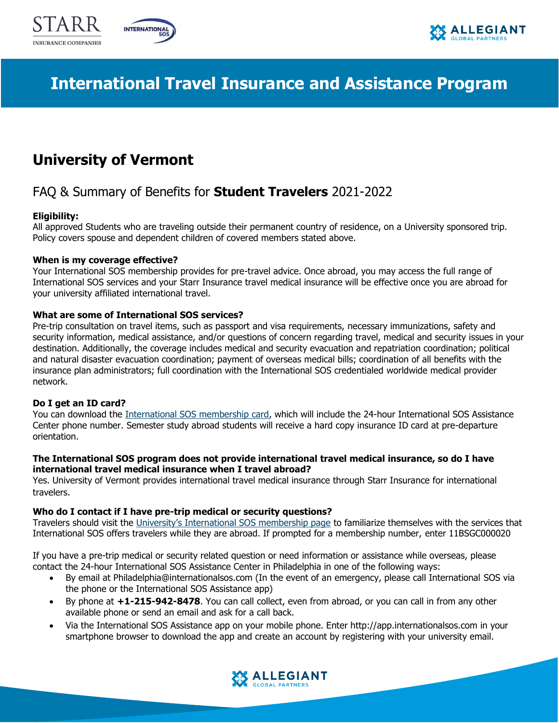





# **International Travel Insurance and Assistance Program**

## **University of Vermont**

## FAQ & Summary of Benefits for **Student Travelers** 2021-2022

## **Eligibility:**

All approved Students who are traveling outside their permanent country of residence, on a University sponsored trip. Policy covers spouse and dependent children of covered members stated above.

## **When is my coverage effective?**

Your International SOS membership provides for pre-travel advice. Once abroad, you may access the full range of International SOS services and your Starr Insurance travel medical insurance will be effective once you are abroad for your university affiliated international travel.

## **What are some of International SOS services?**

Pre-trip consultation on travel items, such as passport and visa requirements, necessary immunizations, safety and security information, medical assistance, and/or questions of concern regarding travel, medical and security issues in your destination. Additionally, the coverage includes medical and security evacuation and repatriation coordination; political and natural disaster evacuation coordination; payment of overseas medical bills; coordination of all benefits with the insurance plan administrators; full coordination with the International SOS credentialed worldwide medical provider network.

## **Do I get an ID card?**

You can download the [International SOS membership card,](https://www.internationalsos.com/Private/NET_StandardMembershipCards/MembershipInfo/default.aspx?cn=H4sIAAAAAAAEAAtlyGPIZChjSGUoYigGskoYKhkUGPIZ0oBkGFg0F8jLA4oDAPaVo4YqAAAA&sz=ul&ac=c&mn=H4sIAAAAAAAEADNkMGRwYghmcGdwZjCAQiMgBgASj9GCGAAAAA==) which will include the 24-hour International SOS Assistance Center phone number. Semester study abroad students will receive a hard copy insurance ID card at pre-departure orientation.

### **The International SOS program does not provide international travel medical insurance, so do I have international travel medical insurance when I travel abroad?**

Yes. University of Vermont provides international travel medical insurance through Starr Insurance for international travelers.

## **Who do I contact if I have pre-trip medical or security questions?**

Travelers should visit the [University's International SOS membership page](https://www.internationalsos.com/MasterPortal/default.aspx?membnum=11BSGC000020) to familiarize themselves with the services that International SOS offers travelers while they are abroad. If prompted for a membership number, enter 11BSGC000020

If you have a pre-trip medical or security related question or need information or assistance while overseas, please contact the 24-hour International SOS Assistance Center in Philadelphia in one of the following ways:

- By email at Philadelphia@internationalsos.com (In the event of an emergency, please call International SOS via the phone or the International SOS Assistance app)
- By phone at **+1-215-942-8478**. You can call collect, even from abroad, or you can call in from any other available phone or send an email and ask for a call back.
- Via the International SOS Assistance app on your mobile phone. Enter http://app.internationalsos.com in your smartphone browser to download the app and create an account by registering with your university email.

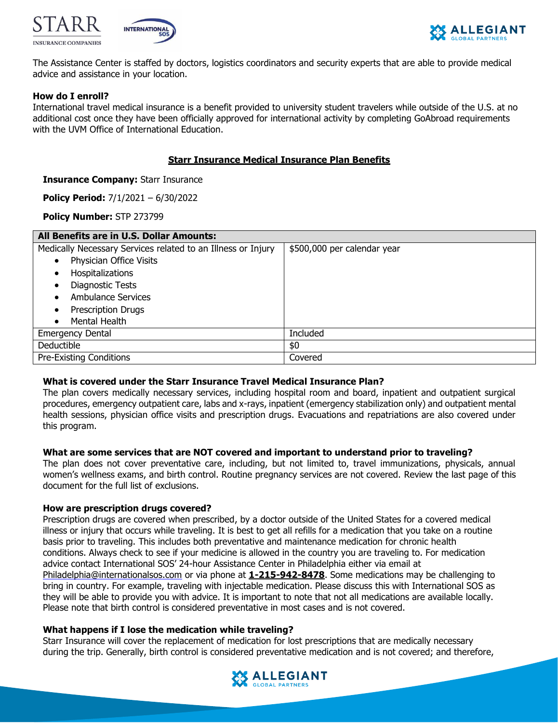





The Assistance Center is staffed by doctors, logistics coordinators and security experts that are able to provide medical advice and assistance in your location.

## **How do I enroll?**

International travel medical insurance is a benefit provided to university student travelers while outside of the U.S. at no additional cost once they have been officially approved for international activity by completing GoAbroad requirements with the UVM Office of International Education.

## **Starr Insurance Medical Insurance Plan Benefits**

#### **Insurance Company: Starr Insurance**

**Policy Period:** 7/1/2021 – 6/30/2022

#### **Policy Number:** STP 273799

| All Benefits are in U.S. Dollar Amounts:                     |                             |
|--------------------------------------------------------------|-----------------------------|
| Medically Necessary Services related to an Illness or Injury | \$500,000 per calendar year |
| Physician Office Visits                                      |                             |
| Hospitalizations<br>$\bullet$                                |                             |
| Diagnostic Tests<br>$\bullet$                                |                             |
| Ambulance Services                                           |                             |
| <b>Prescription Drugs</b>                                    |                             |
| Mental Health<br>$\bullet$                                   |                             |
| <b>Emergency Dental</b>                                      | Included                    |
| Deductible                                                   | \$0                         |
| Pre-Existing Conditions                                      | Covered                     |

#### **What is covered under the Starr Insurance Travel Medical Insurance Plan?**

The plan covers medically necessary services, including hospital room and board, inpatient and outpatient surgical procedures, emergency outpatient care, labs and x-rays, inpatient (emergency stabilization only) and outpatient mental health sessions, physician office visits and prescription drugs. Evacuations and repatriations are also covered under this program.

#### **What are some services that are NOT covered and important to understand prior to traveling?**

The plan does not cover preventative care, including, but not limited to, travel immunizations, physicals, annual women's wellness exams, and birth control. Routine pregnancy services are not covered. Review the last page of this document for the full list of exclusions.

#### **How are prescription drugs covered?**

Prescription drugs are covered when prescribed, by a doctor outside of the United States for a covered medical illness or injury that occurs while traveling. It is best to get all refills for a medication that you take on a routine basis prior to traveling. This includes both preventative and maintenance medication for chronic health conditions. Always check to see if your medicine is allowed in the country you are traveling to. For medication advice contact International SOS' 24-hour Assistance Center in Philadelphia either via email at [Philadelphia@internationalsos.com](mailto:Philadelphia@internationalsos.com) or via phone at **1-215-942-8478**. Some medications may be challenging to bring in country. For example, traveling with injectable medication. Please discuss this with International SOS as they will be able to provide you with advice. It is important to note that not all medications are available locally. Please note that birth control is considered preventative in most cases and is not covered.

#### **What happens if I lose the medication while traveling?**

Starr Insurance will cover the replacement of medication for lost prescriptions that are medically necessary during the trip. Generally, birth control is considered preventative medication and is not covered; and therefore,

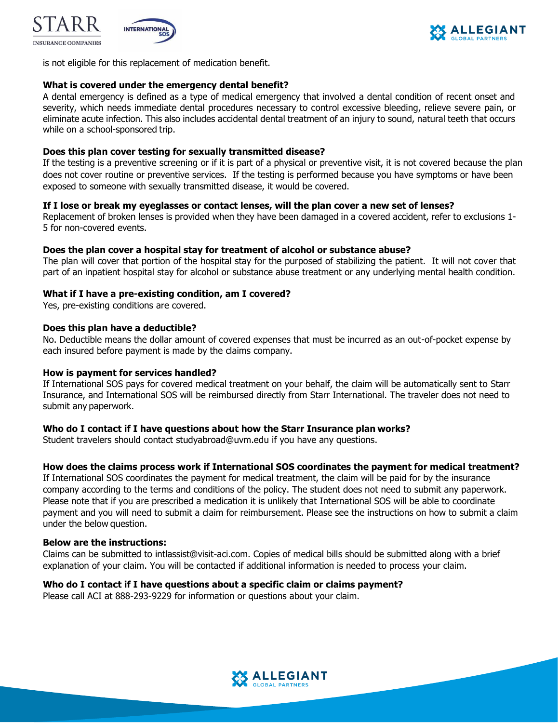





is not eligible for this replacement of medication benefit.

## **What is covered under the emergency dental benefit?**

A dental emergency is defined as a type of medical emergency that involved a dental condition of recent onset and severity, which needs immediate dental procedures necessary to control excessive bleeding, relieve severe pain, or eliminate acute infection. This also includes accidental dental treatment of an injury to sound, natural teeth that occurs while on a school-sponsored trip.

#### **Does this plan cover testing for sexually transmitted disease?**

If the testing is a preventive screening or if it is part of a physical or preventive visit, it is not covered because the plan does not cover routine or preventive services. If the testing is performed because you have symptoms or have been exposed to someone with sexually transmitted disease, it would be covered.

## **If I lose or break my eyeglasses or contact lenses, will the plan cover a new set of lenses?**

Replacement of broken lenses is provided when they have been damaged in a covered accident, refer to exclusions 1- 5 for non-covered events.

#### **Does the plan cover a hospital stay for treatment of alcohol or substance abuse?**

The plan will cover that portion of the hospital stay for the purposed of stabilizing the patient. It will not cover that part of an inpatient hospital stay for alcohol or substance abuse treatment or any underlying mental health condition.

### **What if I have a pre-existing condition, am I covered?**

Yes, pre-existing conditions are covered.

#### **Does this plan have a deductible?**

No. Deductible means the dollar amount of covered expenses that must be incurred as an out-of-pocket expense by each insured before payment is made by the claims company.

#### **How is payment for services handled?**

If International SOS pays for covered medical treatment on your behalf, the claim will be automatically sent to Starr Insurance, and International SOS will be reimbursed directly from Starr International. The traveler does not need to submit any paperwork.

#### **Who do I contact if I have questions about how the Starr Insurance plan works?**

Student travelers should contact studyabroad@uvm.edu if you have any questions.

#### **How does the claims process work if International SOS coordinates the payment for medical treatment?**

If International SOS coordinates the payment for medical treatment, the claim will be paid for by the insurance company according to the terms and conditions of the policy. The student does not need to submit any paperwork. Please note that if you are prescribed a medication it is unlikely that International SOS will be able to coordinate payment and you will need to submit a claim for reimbursement. Please see the instructions on how to submit a claim under the below question.

## **Below are the instructions:**

Claims can be submitted to [intlassist@visit-aci.com.](mailto:intlassist@visit-aci.com) Copies of medical bills should be submitted along with a brief explanation of your claim. You will be contacted if additional information is needed to process your claim.

#### **Who do I contact if I have questions about a specific claim or claims payment?**

Please call ACI at 888-293-9229 for information or questions about your claim.